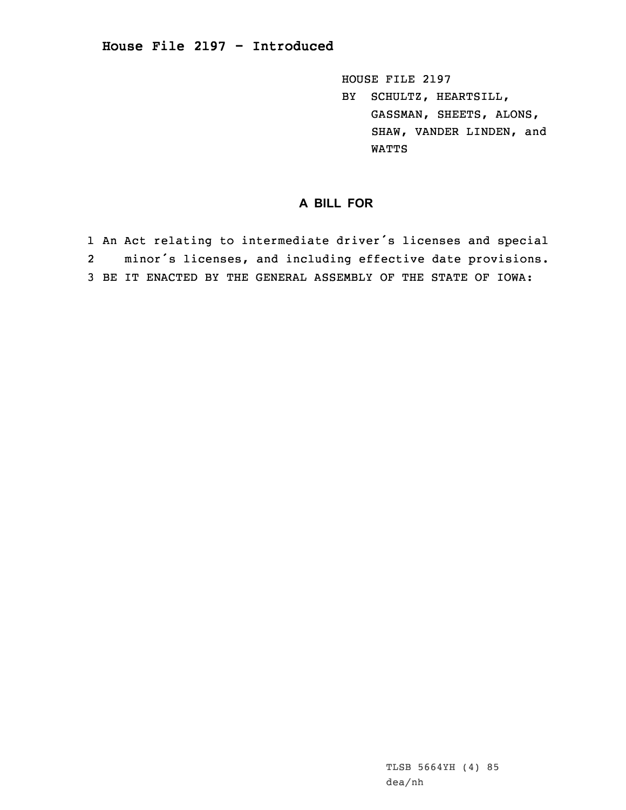HOUSE FILE 2197 BY SCHULTZ, HEARTSILL, GASSMAN, SHEETS, ALONS, SHAW, VANDER LINDEN, and WATTS

## **A BILL FOR**

1 An Act relating to intermediate driver's licenses and special 2 minor's licenses, and including effective date provisions. 3 BE IT ENACTED BY THE GENERAL ASSEMBLY OF THE STATE OF IOWA:

> TLSB 5664YH (4) 85 dea/nh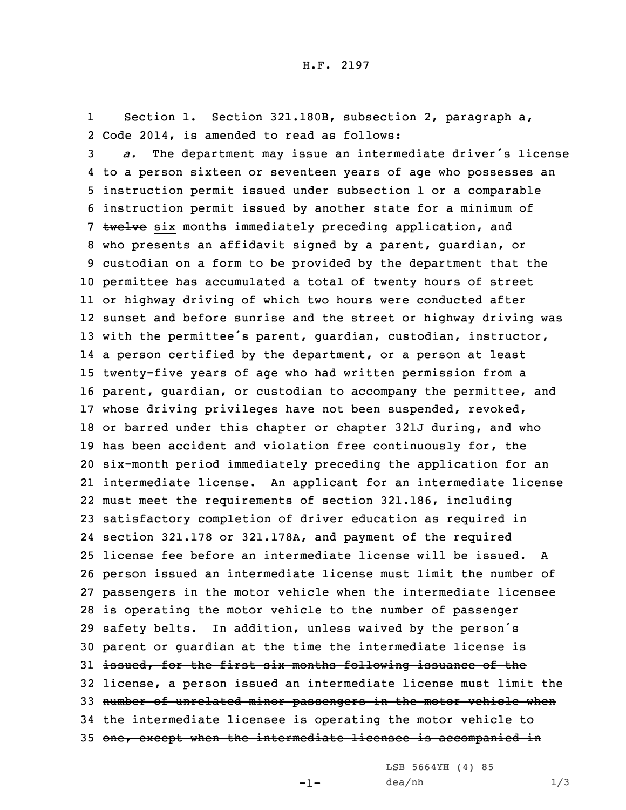1 Section 1. Section 321.180B, subsection 2, paragraph a, 2 Code 2014, is amended to read as follows:

 *a.* The department may issue an intermediate driver's license to <sup>a</sup> person sixteen or seventeen years of age who possesses an instruction permit issued under subsection 1 or <sup>a</sup> comparable instruction permit issued by another state for <sup>a</sup> minimum of 7 twelve six months immediately preceding application, and who presents an affidavit signed by <sup>a</sup> parent, guardian, or custodian on <sup>a</sup> form to be provided by the department that the permittee has accumulated <sup>a</sup> total of twenty hours of street or highway driving of which two hours were conducted after sunset and before sunrise and the street or highway driving was with the permittee's parent, guardian, custodian, instructor, <sup>a</sup> person certified by the department, or <sup>a</sup> person at least twenty-five years of age who had written permission from <sup>a</sup> parent, guardian, or custodian to accompany the permittee, and whose driving privileges have not been suspended, revoked, or barred under this chapter or chapter 321J during, and who has been accident and violation free continuously for, the six-month period immediately preceding the application for an intermediate license. An applicant for an intermediate license must meet the requirements of section 321.186, including satisfactory completion of driver education as required in section 321.178 or 321.178A, and payment of the required license fee before an intermediate license will be issued. A person issued an intermediate license must limit the number of passengers in the motor vehicle when the intermediate licensee is operating the motor vehicle to the number of passenger 29 safety belts. In addition, unless waived by the person's parent or guardian at the time the intermediate license is 31 issued, for the first six months following issuance of the license, <sup>a</sup> person issued an intermediate license must limit the 33 number of unrelated minor passengers in the motor vehicle when the intermediate licensee is operating the motor vehicle to 35 one, except when the intermediate licensee is accompanied in

LSB 5664YH (4) 85

-1-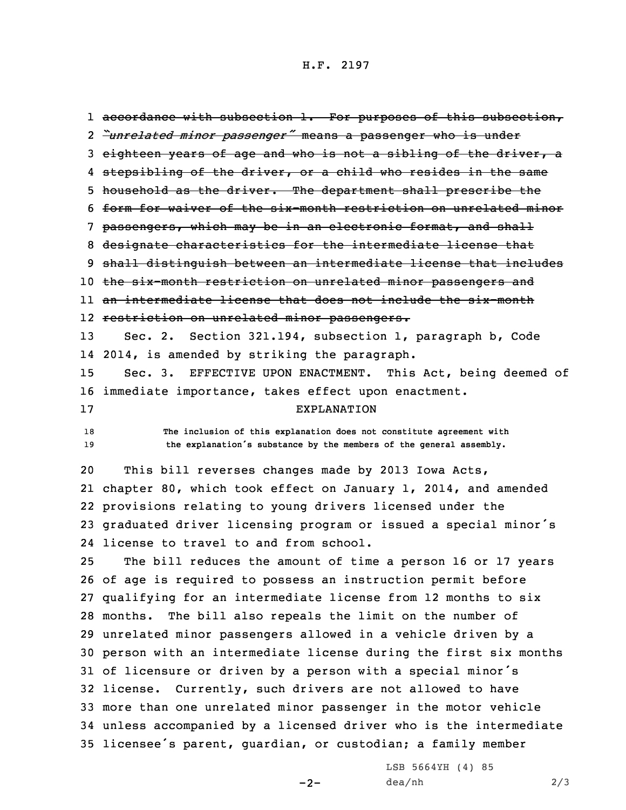## H.F. 2197

1 <del>accordance with subsection 1. For purposes of this subsection,</del> *"unrelated minor passenger"* means <sup>a</sup> passenger who is under eighteen years of age and who is not <sup>a</sup> sibling of the driver, <sup>a</sup> 4 <del>stepsibling of the driver, or a child who resides in the same</del> 5 household as the driver. The department shall prescribe the form for waiver of the six-month restriction on unrelated minor passengers, which may be in an electronic format, and shall designate characteristics for the intermediate license that shall distinguish between an intermediate license that includes the six-month restriction on unrelated minor passengers and an intermediate license that does not include the six-month restriction on unrelated minor passengers. Sec. 2. Section 321.194, subsection 1, paragraph b, Code 2014, is amended by striking the paragraph. Sec. 3. EFFECTIVE UPON ENACTMENT. This Act, being deemed of immediate importance, takes effect upon enactment. EXPLANATION **The inclusion of this explanation does not constitute agreement with the explanation's substance by the members of the general assembly.**

 This bill reverses changes made by 2013 Iowa Acts, chapter 80, which took effect on January 1, 2014, and amended provisions relating to young drivers licensed under the graduated driver licensing program or issued <sup>a</sup> special minor's license to travel to and from school.

 The bill reduces the amount of time <sup>a</sup> person 16 or 17 years of age is required to possess an instruction permit before qualifying for an intermediate license from 12 months to six months. The bill also repeals the limit on the number of unrelated minor passengers allowed in <sup>a</sup> vehicle driven by <sup>a</sup> person with an intermediate license during the first six months of licensure or driven by <sup>a</sup> person with <sup>a</sup> special minor's license. Currently, such drivers are not allowed to have more than one unrelated minor passenger in the motor vehicle unless accompanied by <sup>a</sup> licensed driver who is the intermediate licensee's parent, guardian, or custodian; <sup>a</sup> family member

 $-2-$ 

LSB 5664YH (4) 85 dea/nh 2/3